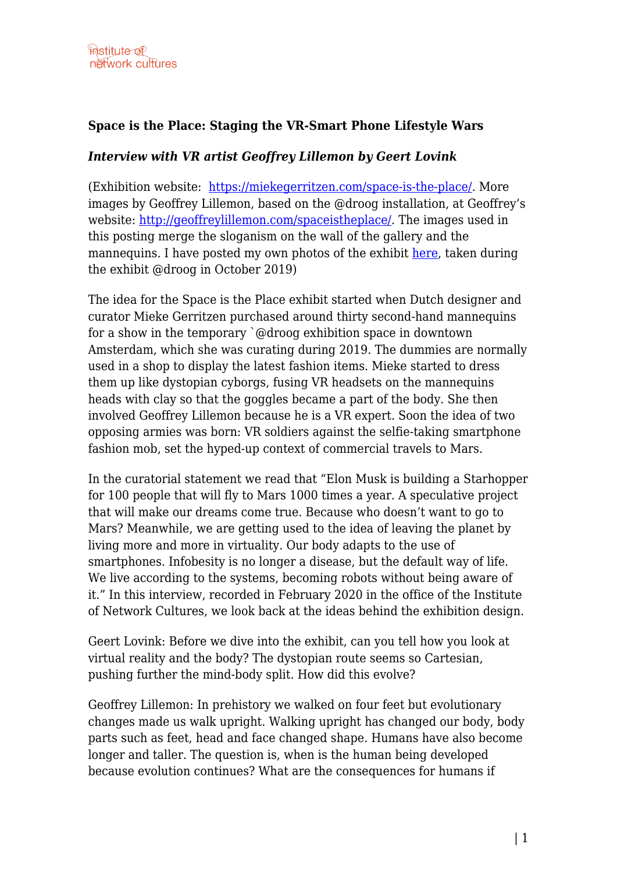## **Space is the Place: Staging the VR-Smart Phone Lifestyle Wars**

## *Interview with VR artist Geoffrey Lillemon by Geert Lovink*

(Exhibition website: <https://miekegerritzen.com/space-is-the-place/>. More images by Geoffrey Lillemon, based on the @droog installation, at Geoffrey's website: [http://geoffreylillemon.com/spaceistheplace/.](http://geoffreylillemon.com/spaceistheplace/) The images used in this posting merge the sloganism on the wall of the gallery and the mannequins. I have posted my own photos of the exhibit [here,](https://networkcultures.org/geert/2019/10/11/impressions-of-space-is-the-place-installation-droog/) taken during the exhibit @droog in October 2019)

The idea for the Space is the Place exhibit started when Dutch designer and curator Mieke Gerritzen purchased around thirty second-hand mannequins for a show in the temporary `@droog exhibition space in downtown Amsterdam, which she was curating during 2019. The dummies are normally used in a shop to display the latest fashion items. Mieke started to dress them up like dystopian cyborgs, fusing VR headsets on the mannequins heads with clay so that the goggles became a part of the body. She then involved Geoffrey Lillemon because he is a VR expert. Soon the idea of two opposing armies was born: VR soldiers against the selfie-taking smartphone fashion mob, set the hyped-up context of commercial travels to Mars.

In the curatorial statement we read that "Elon Musk is building a Starhopper for 100 people that will fly to Mars 1000 times a year. A speculative project that will make our dreams come true. Because who doesn't want to go to Mars? Meanwhile, we are getting used to the idea of leaving the planet by living more and more in virtuality. Our body adapts to the use of smartphones. Infobesity is no longer a disease, but the default way of life. We live according to the systems, becoming robots without being aware of it." In this interview, recorded in February 2020 in the office of the Institute of Network Cultures, we look back at the ideas behind the exhibition design.

Geert Lovink: Before we dive into the exhibit, can you tell how you look at virtual reality and the body? The dystopian route seems so Cartesian, pushing further the mind-body split. How did this evolve?

Geoffrey Lillemon: In prehistory we walked on four feet but evolutionary changes made us walk upright. Walking upright has changed our body, body parts such as feet, head and face changed shape. Humans have also become longer and taller. The question is, when is the human being developed because evolution continues? What are the consequences for humans if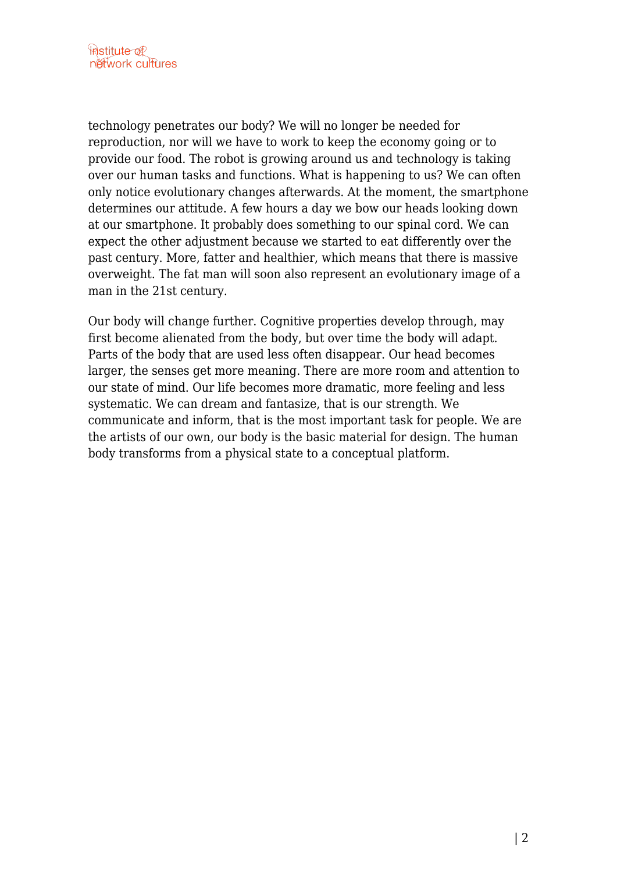technology penetrates our body? We will no longer be needed for reproduction, nor will we have to work to keep the economy going or to provide our food. The robot is growing around us and technology is taking over our human tasks and functions. What is happening to us? We can often only notice evolutionary changes afterwards. At the moment, the smartphone determines our attitude. A few hours a day we bow our heads looking down at our smartphone. It probably does something to our spinal cord. We can expect the other adjustment because we started to eat differently over the past century. More, fatter and healthier, which means that there is massive overweight. The fat man will soon also represent an evolutionary image of a man in the 21st century.

Our body will change further. Cognitive properties develop through, may first become alienated from the body, but over time the body will adapt. Parts of the body that are used less often disappear. Our head becomes larger, the senses get more meaning. There are more room and attention to our state of mind. Our life becomes more dramatic, more feeling and less systematic. We can dream and fantasize, that is our strength. We communicate and inform, that is the most important task for people. We are the artists of our own, our body is the basic material for design. The human body transforms from a physical state to a conceptual platform.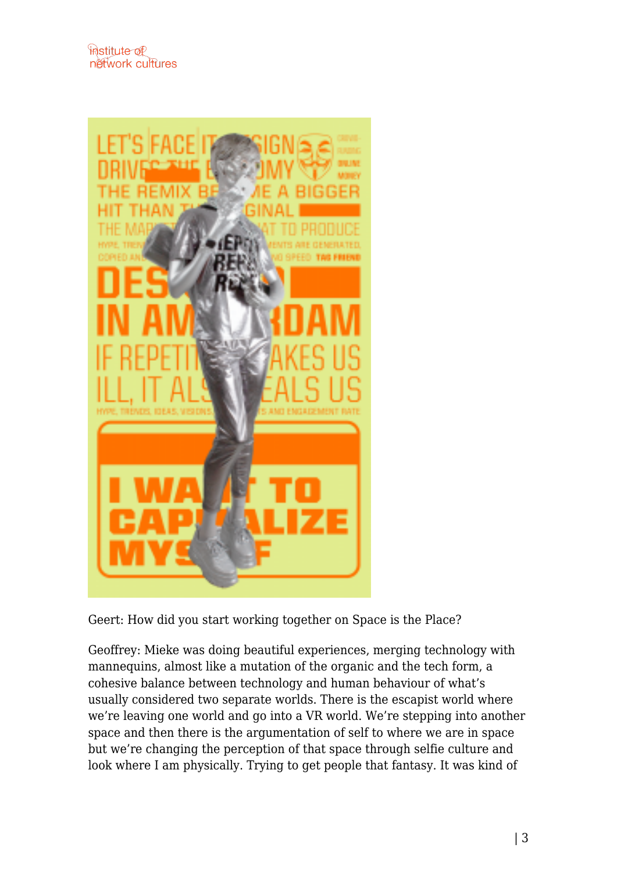

Geert: How did you start working together on Space is the Place?

Geoffrey: Mieke was doing beautiful experiences, merging technology with mannequins, almost like a mutation of the organic and the tech form, a cohesive balance between technology and human behaviour of what's usually considered two separate worlds. There is the escapist world where we're leaving one world and go into a VR world. We're stepping into another space and then there is the argumentation of self to where we are in space but we're changing the perception of that space through selfie culture and look where I am physically. Trying to get people that fantasy. It was kind of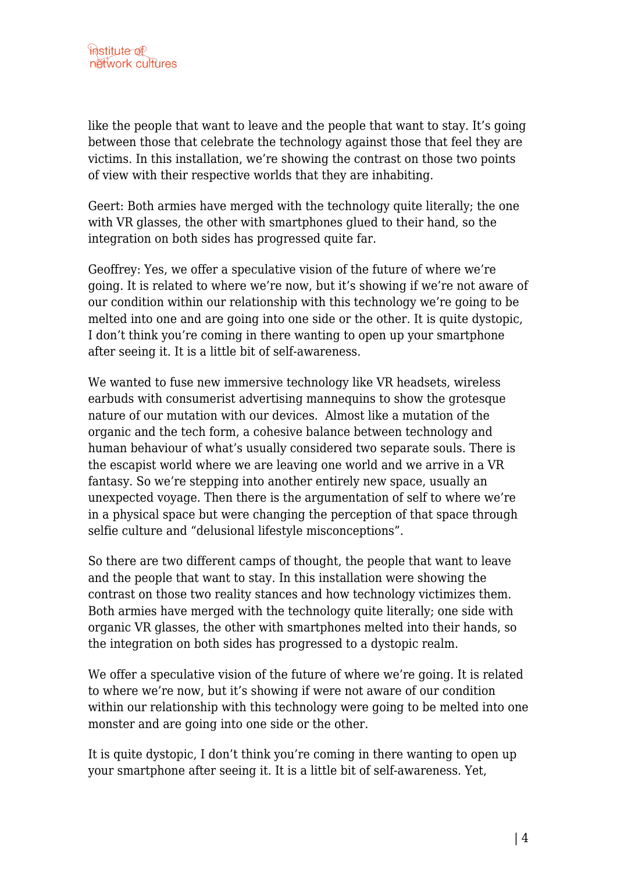like the people that want to leave and the people that want to stay. It's going between those that celebrate the technology against those that feel they are victims. In this installation, we're showing the contrast on those two points of view with their respective worlds that they are inhabiting.

Geert: Both armies have merged with the technology quite literally; the one with VR glasses, the other with smartphones glued to their hand, so the integration on both sides has progressed quite far.

Geoffrey: Yes, we offer a speculative vision of the future of where we're going. It is related to where we're now, but it's showing if we're not aware of our condition within our relationship with this technology we're going to be melted into one and are going into one side or the other. It is quite dystopic, I don't think you're coming in there wanting to open up your smartphone after seeing it. It is a little bit of self-awareness.

We wanted to fuse new immersive technology like VR headsets, wireless earbuds with consumerist advertising mannequins to show the grotesque nature of our mutation with our devices. Almost like a mutation of the organic and the tech form, a cohesive balance between technology and human behaviour of what's usually considered two separate souls. There is the escapist world where we are leaving one world and we arrive in a VR fantasy. So we're stepping into another entirely new space, usually an unexpected voyage. Then there is the argumentation of self to where we're in a physical space but were changing the perception of that space through selfie culture and "delusional lifestyle misconceptions".

So there are two different camps of thought, the people that want to leave and the people that want to stay. In this installation were showing the contrast on those two reality stances and how technology victimizes them. Both armies have merged with the technology quite literally; one side with organic VR glasses, the other with smartphones melted into their hands, so the integration on both sides has progressed to a dystopic realm.

We offer a speculative vision of the future of where we're going. It is related to where we're now, but it's showing if were not aware of our condition within our relationship with this technology were going to be melted into one monster and are going into one side or the other.

It is quite dystopic, I don't think you're coming in there wanting to open up your smartphone after seeing it. It is a little bit of self-awareness. Yet,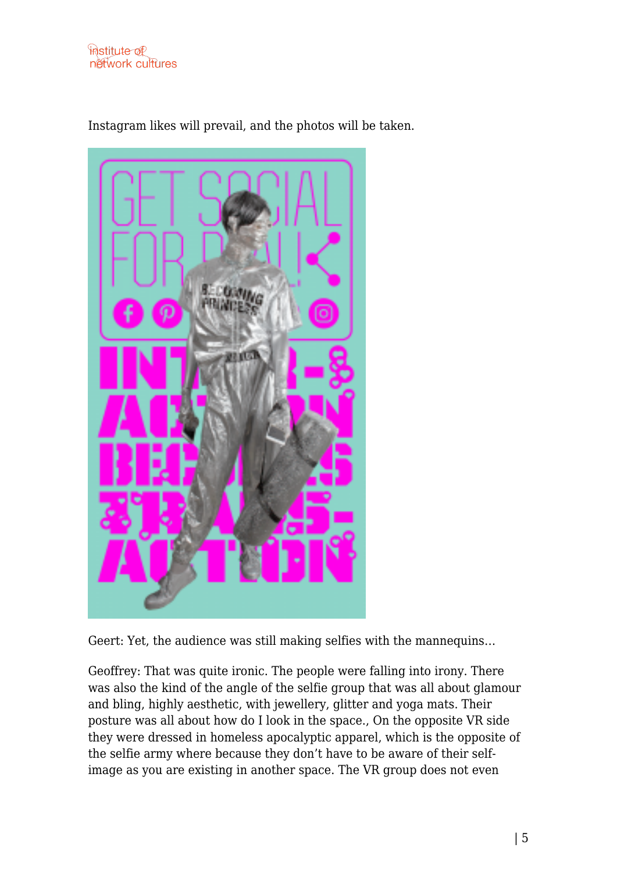



Instagram likes will prevail, and the photos will be taken.

Geert: Yet, the audience was still making selfies with the mannequins…

Geoffrey: That was quite ironic. The people were falling into irony. There was also the kind of the angle of the selfie group that was all about glamour and bling, highly aesthetic, with jewellery, glitter and yoga mats. Their posture was all about how do I look in the space., On the opposite VR side they were dressed in homeless apocalyptic apparel, which is the opposite of the selfie army where because they don't have to be aware of their selfimage as you are existing in another space. The VR group does not even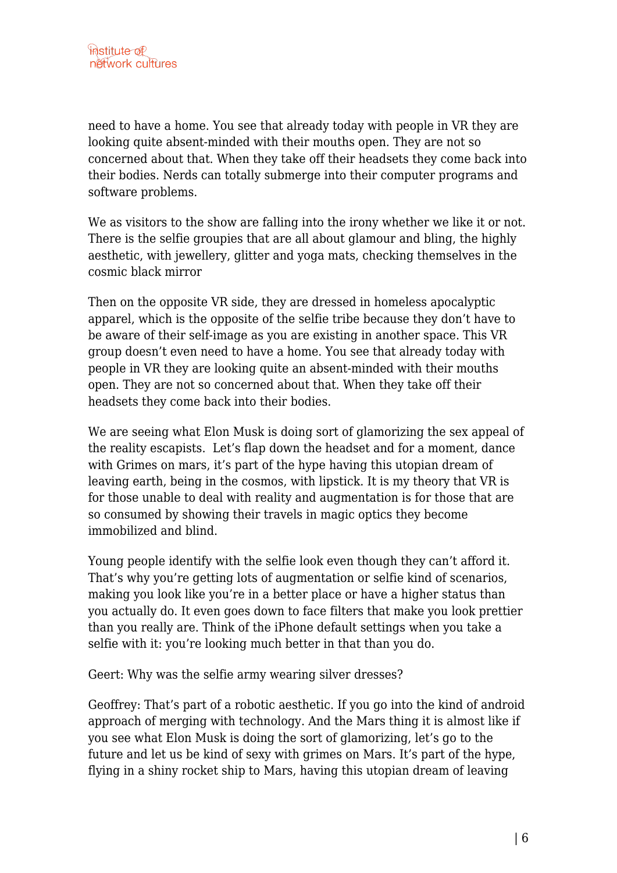need to have a home. You see that already today with people in VR they are looking quite absent-minded with their mouths open. They are not so concerned about that. When they take off their headsets they come back into their bodies. Nerds can totally submerge into their computer programs and software problems.

We as visitors to the show are falling into the irony whether we like it or not. There is the selfie groupies that are all about glamour and bling, the highly aesthetic, with jewellery, glitter and yoga mats, checking themselves in the cosmic black mirror

Then on the opposite VR side, they are dressed in homeless apocalyptic apparel, which is the opposite of the selfie tribe because they don't have to be aware of their self-image as you are existing in another space. This VR group doesn't even need to have a home. You see that already today with people in VR they are looking quite an absent-minded with their mouths open. They are not so concerned about that. When they take off their headsets they come back into their bodies.

We are seeing what Elon Musk is doing sort of glamorizing the sex appeal of the reality escapists. Let's flap down the headset and for a moment, dance with Grimes on mars, it's part of the hype having this utopian dream of leaving earth, being in the cosmos, with lipstick. It is my theory that VR is for those unable to deal with reality and augmentation is for those that are so consumed by showing their travels in magic optics they become immobilized and blind.

Young people identify with the selfie look even though they can't afford it. That's why you're getting lots of augmentation or selfie kind of scenarios, making you look like you're in a better place or have a higher status than you actually do. It even goes down to face filters that make you look prettier than you really are. Think of the iPhone default settings when you take a selfie with it: you're looking much better in that than you do.

Geert: Why was the selfie army wearing silver dresses?

Geoffrey: That's part of a robotic aesthetic. If you go into the kind of android approach of merging with technology. And the Mars thing it is almost like if you see what Elon Musk is doing the sort of glamorizing, let's go to the future and let us be kind of sexy with grimes on Mars. It's part of the hype, flying in a shiny rocket ship to Mars, having this utopian dream of leaving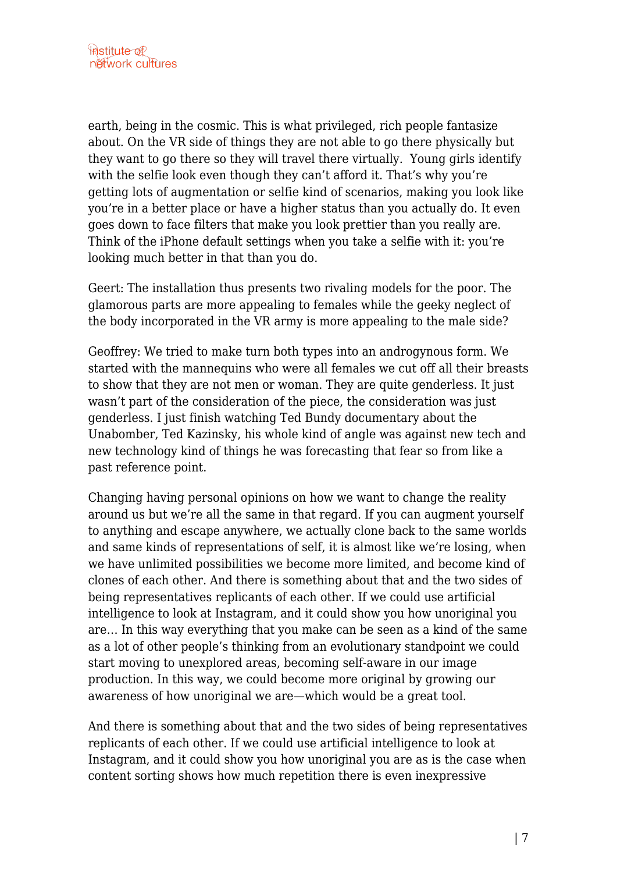earth, being in the cosmic. This is what privileged, rich people fantasize about. On the VR side of things they are not able to go there physically but they want to go there so they will travel there virtually. Young girls identify with the selfie look even though they can't afford it. That's why you're getting lots of augmentation or selfie kind of scenarios, making you look like you're in a better place or have a higher status than you actually do. It even goes down to face filters that make you look prettier than you really are. Think of the iPhone default settings when you take a selfie with it: you're looking much better in that than you do.

Geert: The installation thus presents two rivaling models for the poor. The glamorous parts are more appealing to females while the geeky neglect of the body incorporated in the VR army is more appealing to the male side?

Geoffrey: We tried to make turn both types into an androgynous form. We started with the mannequins who were all females we cut off all their breasts to show that they are not men or woman. They are quite genderless. It just wasn't part of the consideration of the piece, the consideration was just genderless. I just finish watching Ted Bundy documentary about the Unabomber, Ted Kazinsky, his whole kind of angle was against new tech and new technology kind of things he was forecasting that fear so from like a past reference point.

Changing having personal opinions on how we want to change the reality around us but we're all the same in that regard. If you can augment yourself to anything and escape anywhere, we actually clone back to the same worlds and same kinds of representations of self, it is almost like we're losing, when we have unlimited possibilities we become more limited, and become kind of clones of each other. And there is something about that and the two sides of being representatives replicants of each other. If we could use artificial intelligence to look at Instagram, and it could show you how unoriginal you are… In this way everything that you make can be seen as a kind of the same as a lot of other people's thinking from an evolutionary standpoint we could start moving to unexplored areas, becoming self-aware in our image production. In this way, we could become more original by growing our awareness of how unoriginal we are—which would be a great tool.

And there is something about that and the two sides of being representatives replicants of each other. If we could use artificial intelligence to look at Instagram, and it could show you how unoriginal you are as is the case when content sorting shows how much repetition there is even inexpressive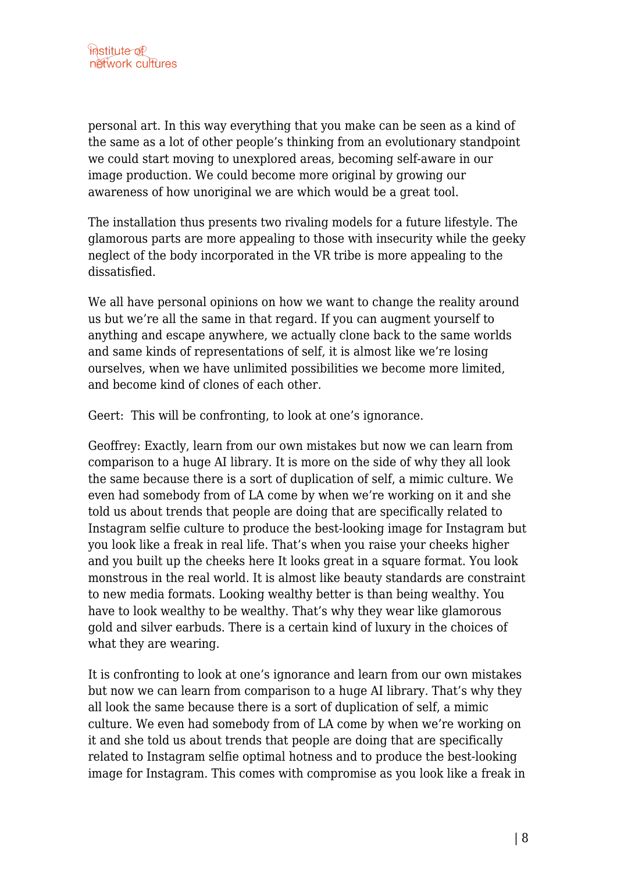personal art. In this way everything that you make can be seen as a kind of the same as a lot of other people's thinking from an evolutionary standpoint we could start moving to unexplored areas, becoming self-aware in our image production. We could become more original by growing our awareness of how unoriginal we are which would be a great tool.

The installation thus presents two rivaling models for a future lifestyle. The glamorous parts are more appealing to those with insecurity while the geeky neglect of the body incorporated in the VR tribe is more appealing to the dissatisfied.

We all have personal opinions on how we want to change the reality around us but we're all the same in that regard. If you can augment yourself to anything and escape anywhere, we actually clone back to the same worlds and same kinds of representations of self, it is almost like we're losing ourselves, when we have unlimited possibilities we become more limited, and become kind of clones of each other.

Geert: This will be confronting, to look at one's ignorance.

Geoffrey: Exactly, learn from our own mistakes but now we can learn from comparison to a huge AI library. It is more on the side of why they all look the same because there is a sort of duplication of self, a mimic culture. We even had somebody from of LA come by when we're working on it and she told us about trends that people are doing that are specifically related to Instagram selfie culture to produce the best-looking image for Instagram but you look like a freak in real life. That's when you raise your cheeks higher and you built up the cheeks here It looks great in a square format. You look monstrous in the real world. It is almost like beauty standards are constraint to new media formats. Looking wealthy better is than being wealthy. You have to look wealthy to be wealthy. That's why they wear like glamorous gold and silver earbuds. There is a certain kind of luxury in the choices of what they are wearing.

It is confronting to look at one's ignorance and learn from our own mistakes but now we can learn from comparison to a huge AI library. That's why they all look the same because there is a sort of duplication of self, a mimic culture. We even had somebody from of LA come by when we're working on it and she told us about trends that people are doing that are specifically related to Instagram selfie optimal hotness and to produce the best-looking image for Instagram. This comes with compromise as you look like a freak in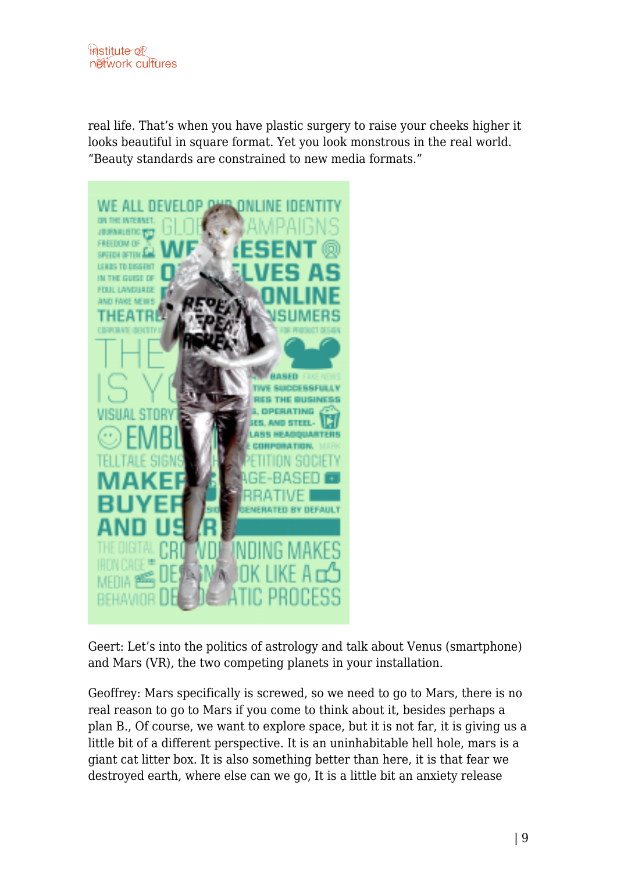real life. That's when you have plastic surgery to raise your cheeks higher it looks beautiful in square format. Yet you look monstrous in the real world. "Beauty standards are constrained to new media formats."



Geert: Let's into the politics of astrology and talk about Venus (smartphone) and Mars (VR), the two competing planets in your installation.

Geoffrey: Mars specifically is screwed, so we need to go to Mars, there is no real reason to go to Mars if you come to think about it, besides perhaps a plan B., Of course, we want to explore space, but it is not far, it is giving us a little bit of a different perspective. It is an uninhabitable hell hole, mars is a giant cat litter box. It is also something better than here, it is that fear we destroyed earth, where else can we go, It is a little bit an anxiety release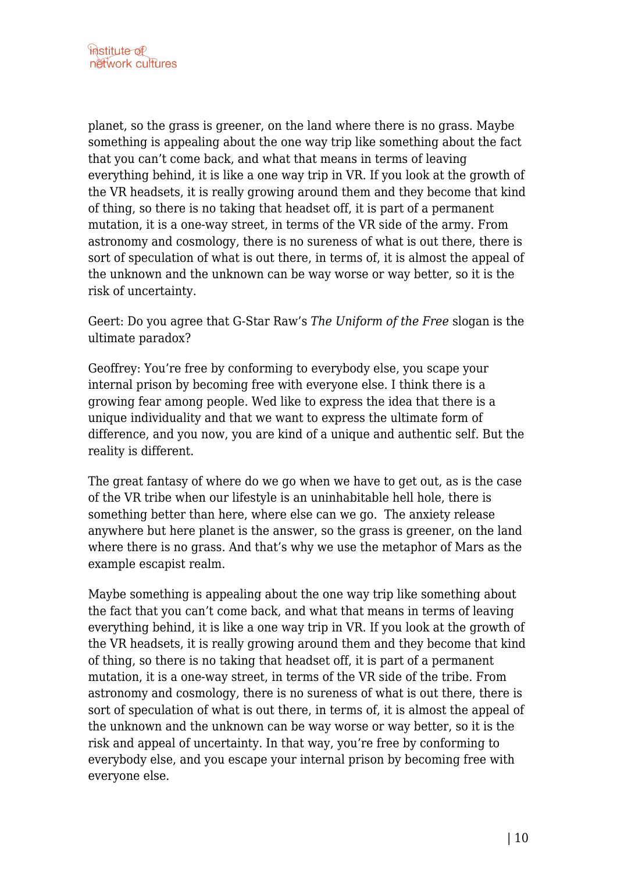planet, so the grass is greener, on the land where there is no grass. Maybe something is appealing about the one way trip like something about the fact that you can't come back, and what that means in terms of leaving everything behind, it is like a one way trip in VR. If you look at the growth of the VR headsets, it is really growing around them and they become that kind of thing, so there is no taking that headset off, it is part of a permanent mutation, it is a one-way street, in terms of the VR side of the army. From astronomy and cosmology, there is no sureness of what is out there, there is sort of speculation of what is out there, in terms of, it is almost the appeal of the unknown and the unknown can be way worse or way better, so it is the risk of uncertainty.

Geert: Do you agree that G-Star Raw's *The Uniform of the Free* slogan is the ultimate paradox?

Geoffrey: You're free by conforming to everybody else, you scape your internal prison by becoming free with everyone else. I think there is a growing fear among people. Wed like to express the idea that there is a unique individuality and that we want to express the ultimate form of difference, and you now, you are kind of a unique and authentic self. But the reality is different.

The great fantasy of where do we go when we have to get out, as is the case of the VR tribe when our lifestyle is an uninhabitable hell hole, there is something better than here, where else can we go. The anxiety release anywhere but here planet is the answer, so the grass is greener, on the land where there is no grass. And that's why we use the metaphor of Mars as the example escapist realm.

Maybe something is appealing about the one way trip like something about the fact that you can't come back, and what that means in terms of leaving everything behind, it is like a one way trip in VR. If you look at the growth of the VR headsets, it is really growing around them and they become that kind of thing, so there is no taking that headset off, it is part of a permanent mutation, it is a one-way street, in terms of the VR side of the tribe. From astronomy and cosmology, there is no sureness of what is out there, there is sort of speculation of what is out there, in terms of, it is almost the appeal of the unknown and the unknown can be way worse or way better, so it is the risk and appeal of uncertainty. In that way, you're free by conforming to everybody else, and you escape your internal prison by becoming free with everyone else.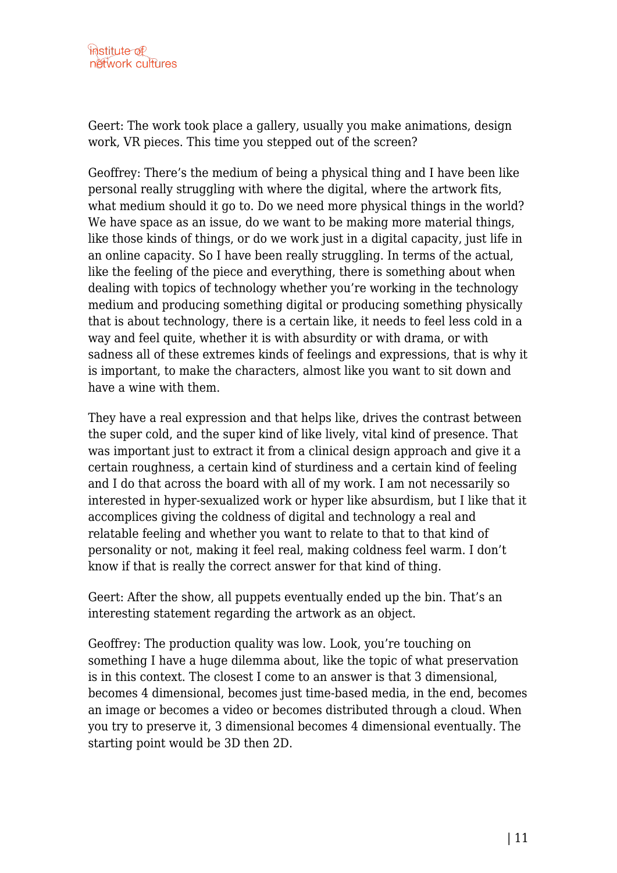Geert: The work took place a gallery, usually you make animations, design work, VR pieces. This time you stepped out of the screen?

Geoffrey: There's the medium of being a physical thing and I have been like personal really struggling with where the digital, where the artwork fits, what medium should it go to. Do we need more physical things in the world? We have space as an issue, do we want to be making more material things, like those kinds of things, or do we work just in a digital capacity, just life in an online capacity. So I have been really struggling. In terms of the actual, like the feeling of the piece and everything, there is something about when dealing with topics of technology whether you're working in the technology medium and producing something digital or producing something physically that is about technology, there is a certain like, it needs to feel less cold in a way and feel quite, whether it is with absurdity or with drama, or with sadness all of these extremes kinds of feelings and expressions, that is why it is important, to make the characters, almost like you want to sit down and have a wine with them.

They have a real expression and that helps like, drives the contrast between the super cold, and the super kind of like lively, vital kind of presence. That was important just to extract it from a clinical design approach and give it a certain roughness, a certain kind of sturdiness and a certain kind of feeling and I do that across the board with all of my work. I am not necessarily so interested in hyper-sexualized work or hyper like absurdism, but I like that it accomplices giving the coldness of digital and technology a real and relatable feeling and whether you want to relate to that to that kind of personality or not, making it feel real, making coldness feel warm. I don't know if that is really the correct answer for that kind of thing.

Geert: After the show, all puppets eventually ended up the bin. That's an interesting statement regarding the artwork as an object.

Geoffrey: The production quality was low. Look, you're touching on something I have a huge dilemma about, like the topic of what preservation is in this context. The closest I come to an answer is that 3 dimensional, becomes 4 dimensional, becomes just time-based media, in the end, becomes an image or becomes a video or becomes distributed through a cloud. When you try to preserve it, 3 dimensional becomes 4 dimensional eventually. The starting point would be 3D then 2D.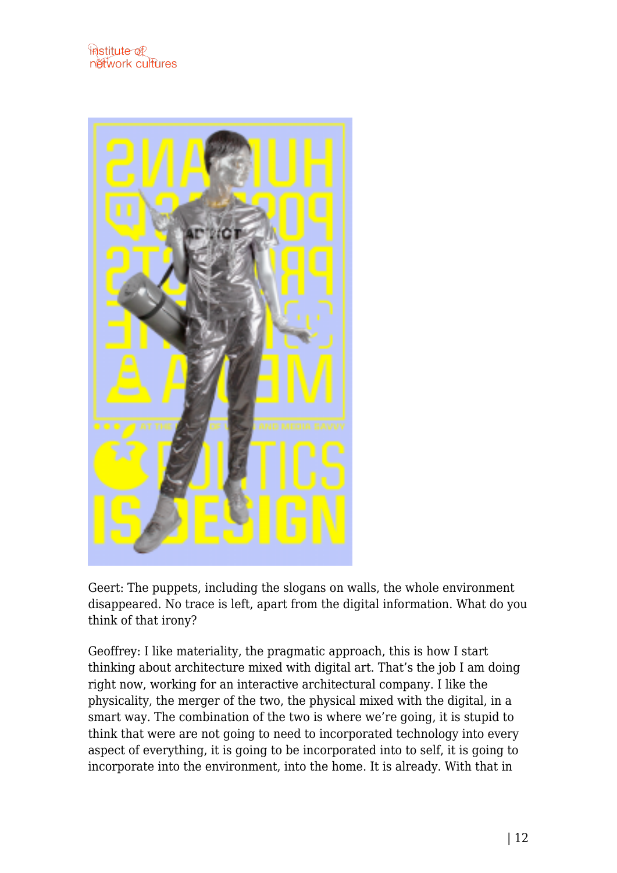

Geert: The puppets, including the slogans on walls, the whole environment disappeared. No trace is left, apart from the digital information. What do you think of that irony?

Geoffrey: I like materiality, the pragmatic approach, this is how I start thinking about architecture mixed with digital art. That's the job I am doing right now, working for an interactive architectural company. I like the physicality, the merger of the two, the physical mixed with the digital, in a smart way. The combination of the two is where we're going, it is stupid to think that were are not going to need to incorporated technology into every aspect of everything, it is going to be incorporated into to self, it is going to incorporate into the environment, into the home. It is already. With that in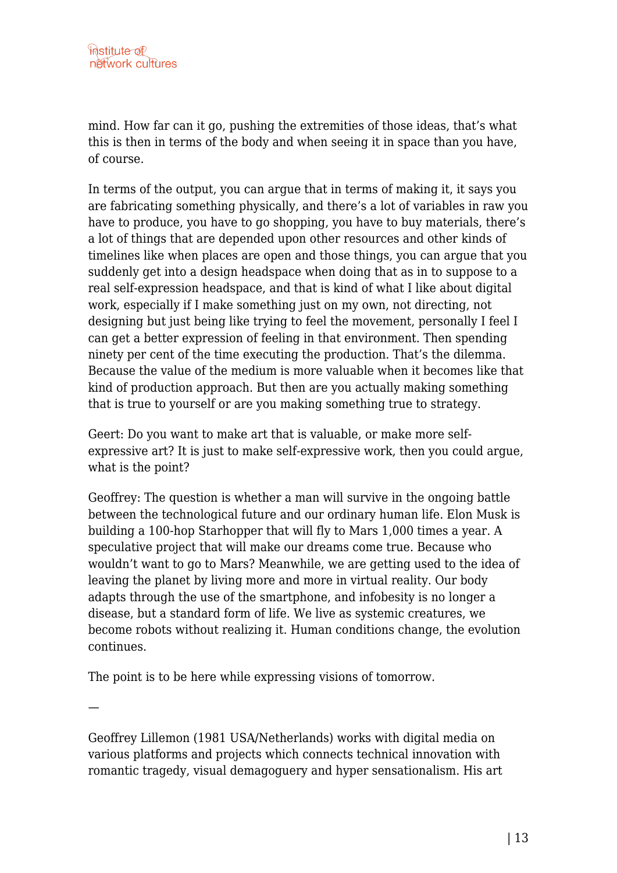mind. How far can it go, pushing the extremities of those ideas, that's what this is then in terms of the body and when seeing it in space than you have, of course.

In terms of the output, you can argue that in terms of making it, it says you are fabricating something physically, and there's a lot of variables in raw you have to produce, you have to go shopping, you have to buy materials, there's a lot of things that are depended upon other resources and other kinds of timelines like when places are open and those things, you can argue that you suddenly get into a design headspace when doing that as in to suppose to a real self-expression headspace, and that is kind of what I like about digital work, especially if I make something just on my own, not directing, not designing but just being like trying to feel the movement, personally I feel I can get a better expression of feeling in that environment. Then spending ninety per cent of the time executing the production. That's the dilemma. Because the value of the medium is more valuable when it becomes like that kind of production approach. But then are you actually making something that is true to yourself or are you making something true to strategy.

Geert: Do you want to make art that is valuable, or make more selfexpressive art? It is just to make self-expressive work, then you could argue, what is the point?

Geoffrey: The question is whether a man will survive in the ongoing battle between the technological future and our ordinary human life. Elon Musk is building a 100-hop Starhopper that will fly to Mars 1,000 times a year. A speculative project that will make our dreams come true. Because who wouldn't want to go to Mars? Meanwhile, we are getting used to the idea of leaving the planet by living more and more in virtual reality. Our body adapts through the use of the smartphone, and infobesity is no longer a disease, but a standard form of life. We live as systemic creatures, we become robots without realizing it. Human conditions change, the evolution continues.

The point is to be here while expressing visions of tomorrow.

—

Geoffrey Lillemon (1981 USA/Netherlands) works with digital media on various platforms and projects which connects technical innovation with romantic tragedy, visual demagoguery and hyper sensationalism. His art